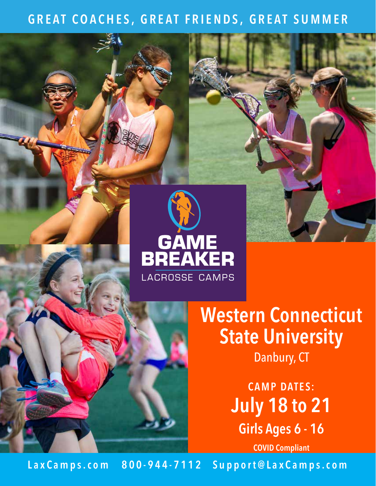# **GREAT COACHES, GREAT FRIENDS, GREAT SUMMER**



**Western Connecticut State University** Danbury, CT

> **CAMP DATES: July 18 to 21 Girls Ages 6 - 16**

> > **COVID Compliant**

Lax C a m p s . c o m 800 - 944 - 7112 Support@Lax C a m p s . c o m